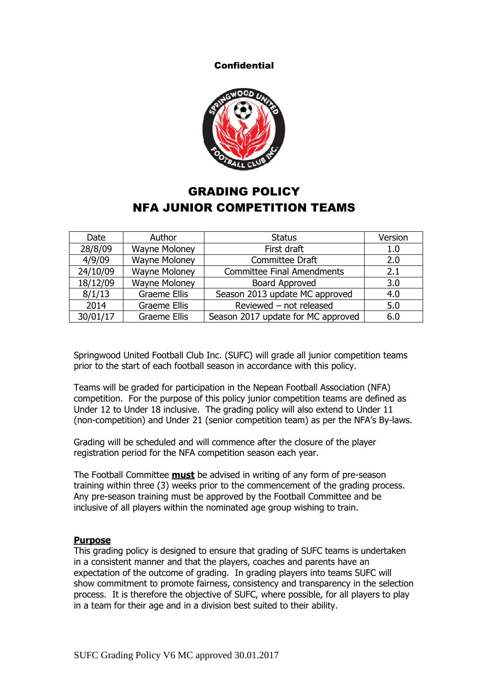**Confidential** 



# GRADING POLICY NFA JUNIOR COMPETITION TEAMS

| Date     | Author               | <b>Status</b>                      | Version |
|----------|----------------------|------------------------------------|---------|
| 28/8/09  | <b>Wayne Moloney</b> | First draft                        | 1.0     |
| 4/9/09   | <b>Wayne Moloney</b> | Committee Draft                    | 2.0     |
| 24/10/09 | <b>Wayne Moloney</b> | <b>Committee Final Amendments</b>  | 2.1     |
| 18/12/09 | <b>Wayne Moloney</b> | Board Approved                     | 3.0     |
| 8/1/13   | <b>Graeme Ellis</b>  | Season 2013 update MC approved     | 4.0     |
| 2014     | Graeme Ellis         | Reviewed - not released            | 5.0     |
| 30/01/17 | Graeme Ellis         | Season 2017 update for MC approved | 6.0     |

Springwood United Football Club Inc. (SUFC) will grade all junior competition teams prior to the start of each football season in accordance with this policy.

Teams will be graded for participation in the Nepean Football Association (NFA) competition. For the purpose of this policy junior competition teams are defined as Under 12 to Under 18 inclusive. The grading policy will also extend to Under 11 (non-competition) and Under 21 (senior competition team) as per the NFA's By-laws.

Grading will be scheduled and will commence after the closure of the player registration period for the NFA competition season each year.

The Football Committee **must** be advised in writing of any form of pre-season training within three (3) weeks prior to the commencement of the grading process. Any pre-season training must be approved by the Football Committee and be inclusive of all players within the nominated age group wishing to train.

## **Purpose**

This grading policy is designed to ensure that grading of SUFC teams is undertaken in a consistent manner and that the players, coaches and parents have an expectation of the outcome of grading. In grading players into teams SUFC will show commitment to promote fairness, consistency and transparency in the selection process. It is therefore the objective of SUFC, where possible, for all players to play in a team for their age and in a division best suited to their ability.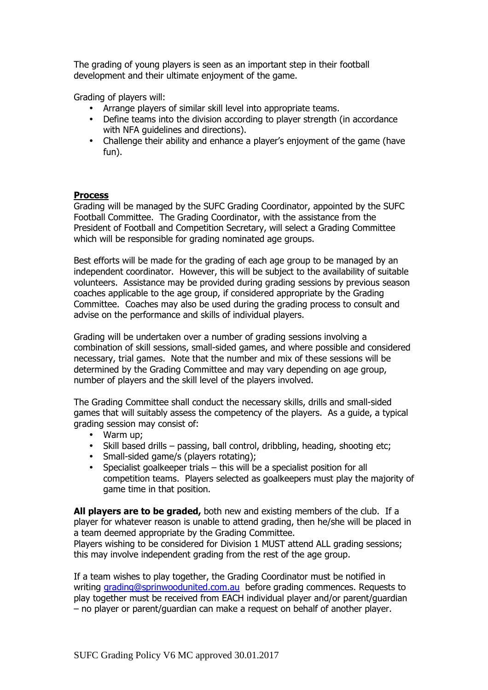The grading of young players is seen as an important step in their football development and their ultimate enjoyment of the game.

Grading of players will:

- Arrange players of similar skill level into appropriate teams.
- Define teams into the division according to player strength (in accordance with NFA guidelines and directions).
- Challenge their ability and enhance a player's enjoyment of the game (have fun).

# **Process**

Grading will be managed by the SUFC Grading Coordinator, appointed by the SUFC Football Committee. The Grading Coordinator, with the assistance from the President of Football and Competition Secretary, will select a Grading Committee which will be responsible for grading nominated age groups.

Best efforts will be made for the grading of each age group to be managed by an independent coordinator. However, this will be subject to the availability of suitable volunteers. Assistance may be provided during grading sessions by previous season coaches applicable to the age group, if considered appropriate by the Grading Committee. Coaches may also be used during the grading process to consult and advise on the performance and skills of individual players.

Grading will be undertaken over a number of grading sessions involving a combination of skill sessions, small-sided games, and where possible and considered necessary, trial games. Note that the number and mix of these sessions will be determined by the Grading Committee and may vary depending on age group, number of players and the skill level of the players involved.

The Grading Committee shall conduct the necessary skills, drills and small-sided games that will suitably assess the competency of the players. As a guide, a typical grading session may consist of:

- Warm up;
- Skill based drills passing, ball control, dribbling, heading, shooting etc;
- Small-sided game/s (players rotating);
- Specialist goalkeeper trials this will be a specialist position for all competition teams. Players selected as goalkeepers must play the majority of game time in that position.

**All players are to be graded,** both new and existing members of the club. If a player for whatever reason is unable to attend grading, then he/she will be placed in a team deemed appropriate by the Grading Committee.

Players wishing to be considered for Division 1 MUST attend ALL grading sessions; this may involve independent grading from the rest of the age group.

If a team wishes to play together, the Grading Coordinator must be notified in writing grading@sprinwoodunited.com.au before grading commences. Requests to play together must be received from EACH individual player and/or parent/guardian – no player or parent/guardian can make a request on behalf of another player.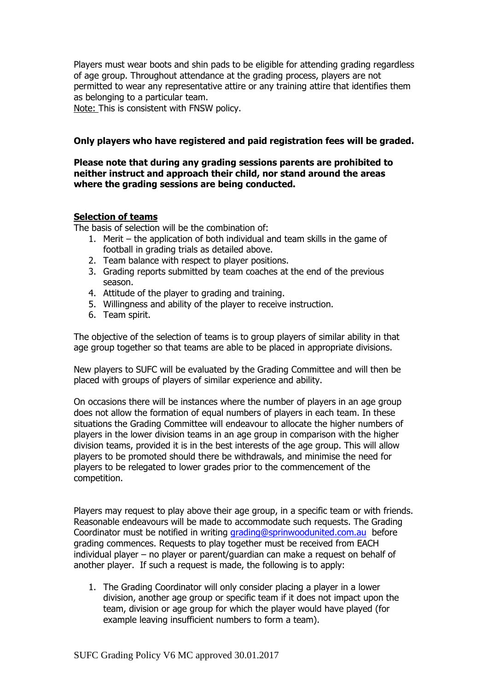Players must wear boots and shin pads to be eligible for attending grading regardless of age group. Throughout attendance at the grading process, players are not permitted to wear any representative attire or any training attire that identifies them as belonging to a particular team.

Note: This is consistent with FNSW policy.

## **Only players who have registered and paid registration fees will be graded.**

## **Please note that during any grading sessions parents are prohibited to neither instruct and approach their child, nor stand around the areas where the grading sessions are being conducted.**

## **Selection of teams**

The basis of selection will be the combination of:

- 1. Merit the application of both individual and team skills in the game of football in grading trials as detailed above.
- 2. Team balance with respect to player positions.
- 3. Grading reports submitted by team coaches at the end of the previous season.
- 4. Attitude of the player to grading and training.
- 5. Willingness and ability of the player to receive instruction.
- 6. Team spirit.

The objective of the selection of teams is to group players of similar ability in that age group together so that teams are able to be placed in appropriate divisions.

New players to SUFC will be evaluated by the Grading Committee and will then be placed with groups of players of similar experience and ability.

On occasions there will be instances where the number of players in an age group does not allow the formation of equal numbers of players in each team. In these situations the Grading Committee will endeavour to allocate the higher numbers of players in the lower division teams in an age group in comparison with the higher division teams, provided it is in the best interests of the age group. This will allow players to be promoted should there be withdrawals, and minimise the need for players to be relegated to lower grades prior to the commencement of the competition.

Players may request to play above their age group, in a specific team or with friends. Reasonable endeavours will be made to accommodate such requests. The Grading Coordinator must be notified in writing grading@sprinwoodunited.com.au before grading commences. Requests to play together must be received from EACH individual player – no player or parent/guardian can make a request on behalf of another player. If such a request is made, the following is to apply:

1. The Grading Coordinator will only consider placing a player in a lower division, another age group or specific team if it does not impact upon the team, division or age group for which the player would have played (for example leaving insufficient numbers to form a team).